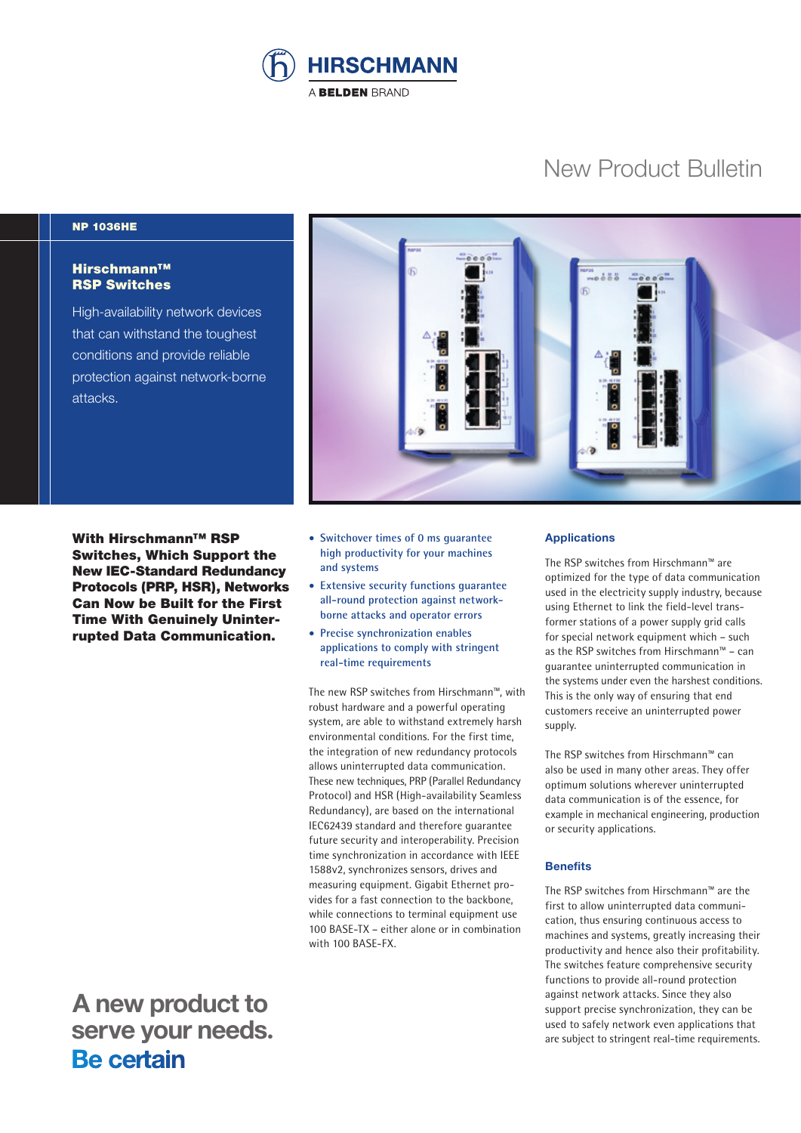

# New Product Bulletin

## NP 1036HE

## Hirschmann™ RSP Switches

High-availability network devices that can withstand the toughest conditions and provide reliable protection against network-borne attacks.

With Hirschmann™ RSP Switches, Which Support the New IEC-Standard Redundancy Protocols (PRP, HSR), Networks Can Now be Built for the First Time With Genuinely Uninterrupted Data Communication.



- **Switchover times of 0 ms guarantee high productivity for your machines and systems**
- **Extensive security functions guarantee all-round protection against networkborne attacks and operator errors**
- **Precise synchronization enables applications to comply with stringent real-time requirements**

The new RSP switches from Hirschmann™, with robust hardware and a powerful operating system, are able to withstand extremely harsh environmental conditions. For the first time, the integration of new redundancy protocols allows uninterrupted data communication. These new techniques, PRP (Parallel Redundancy Protocol) and HSR (High-availability Seamless Redundancy), are based on the international IEC62439 standard and therefore guarantee future security and interoperability. Precision time synchronization in accordance with IEEE 1588v2, synchronizes sensors, drives and measuring equipment. Gigabit Ethernet provides for a fast connection to the backbone, while connections to terminal equipment use 100 BASE-TX – either alone or in combination with 100 BASE-FX.

## **Applications**

The RSP switches from Hirschmann™ are optimized for the type of data communication used in the electricity supply industry, because using Ethernet to link the field-level transformer stations of a power supply grid calls for special network equipment which – such as the RSP switches from Hirschmann™ – can guarantee uninterrupted communication in the systems under even the harshest conditions. This is the only way of ensuring that end customers receive an uninterrupted power supply.

The RSP switches from Hirschmann™ can also be used in many other areas. They offer optimum solutions wherever uninterrupted data communication is of the essence, for example in mechanical engineering, production or security applications.

### **Benefits**

The RSP switches from Hirschmann™ are the first to allow uninterrupted data communication, thus ensuring continuous access to machines and systems, greatly increasing their productivity and hence also their profitability. The switches feature comprehensive security functions to provide all-round protection against network attacks. Since they also support precise synchronization, they can be used to safely network even applications that are subject to stringent real-time requirements.

 **A new product to** serve your needs.<br>**Be certain**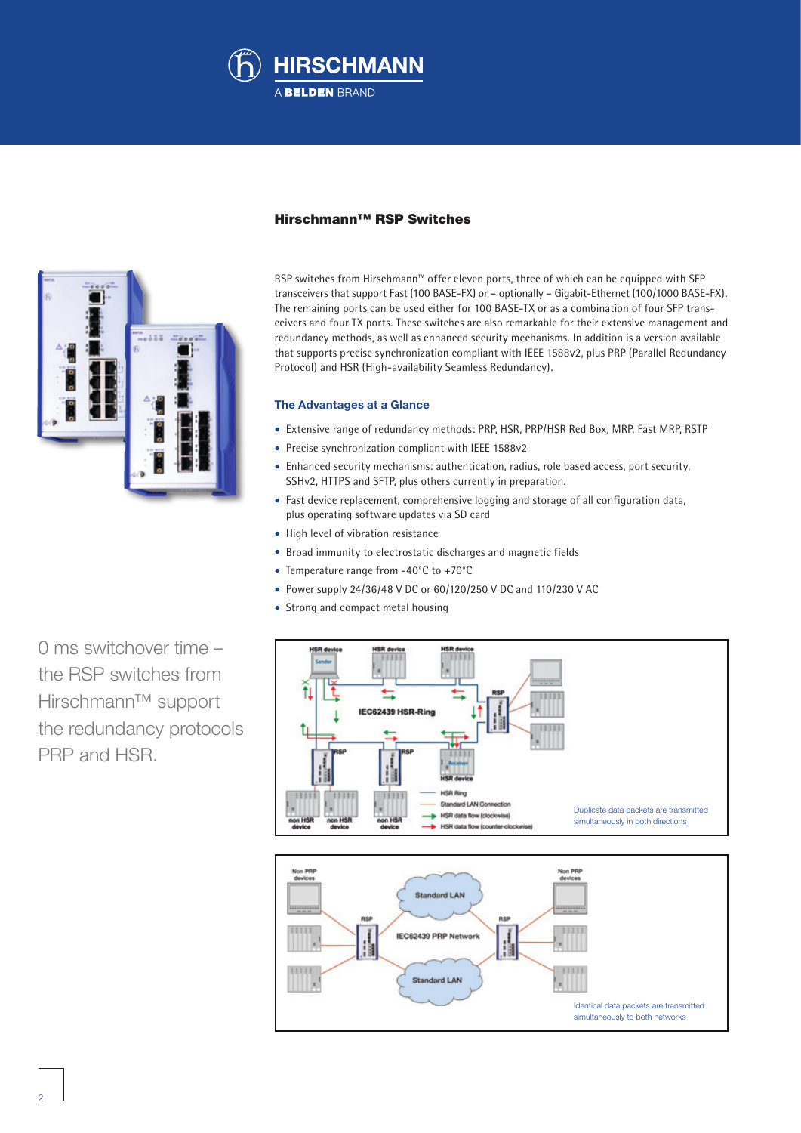



## Hirschmann™ RSP Switches

RSP switches from Hirschmann™ offer eleven ports, three of which can be equipped with SFP transceivers that support Fast (100 BASE-FX) or – optionally – Gigabit-Ethernet (100/1000 BASE-FX). The remaining ports can be used either for 100 BASE-TX or as a combination of four SFP transceivers and four TX ports. These switches are also remarkable for their extensive management and redundancy methods, as well as enhanced security mechanisms. In addition is a version available that supports precise synchronization compliant with IEEE 1588v2, plus PRP (Parallel Redundancy Protocol) and HSR (High-availability Seamless Redundancy).

### **The Advantages at a Glance**

- Extensive range of redundancy methods: PRP, HSR, PRP/HSR Red Box, MRP, Fast MRP, RSTP
- Precise synchronization compliant with IEEE 1588v2
- Enhanced security mechanisms: authentication, radius, role based access, port security, SSHv2, HTTPS and SFTP, plus others currently in preparation.
- Fast device replacement, comprehensive logging and storage of all configuration data, plus operating software updates via SD card
- High level of vibration resistance
- Broad immunity to electrostatic discharges and magnetic fields
- Temperature range from -40°C to +70°C
- Power supply 24/36/48 V DC or 60/120/250 V DC and 110/230 V AC
- Strong and compact metal housing

0 ms switchover time – the RSP switches from Hirschmann™ support the redundancy protocols PRP and HSR.



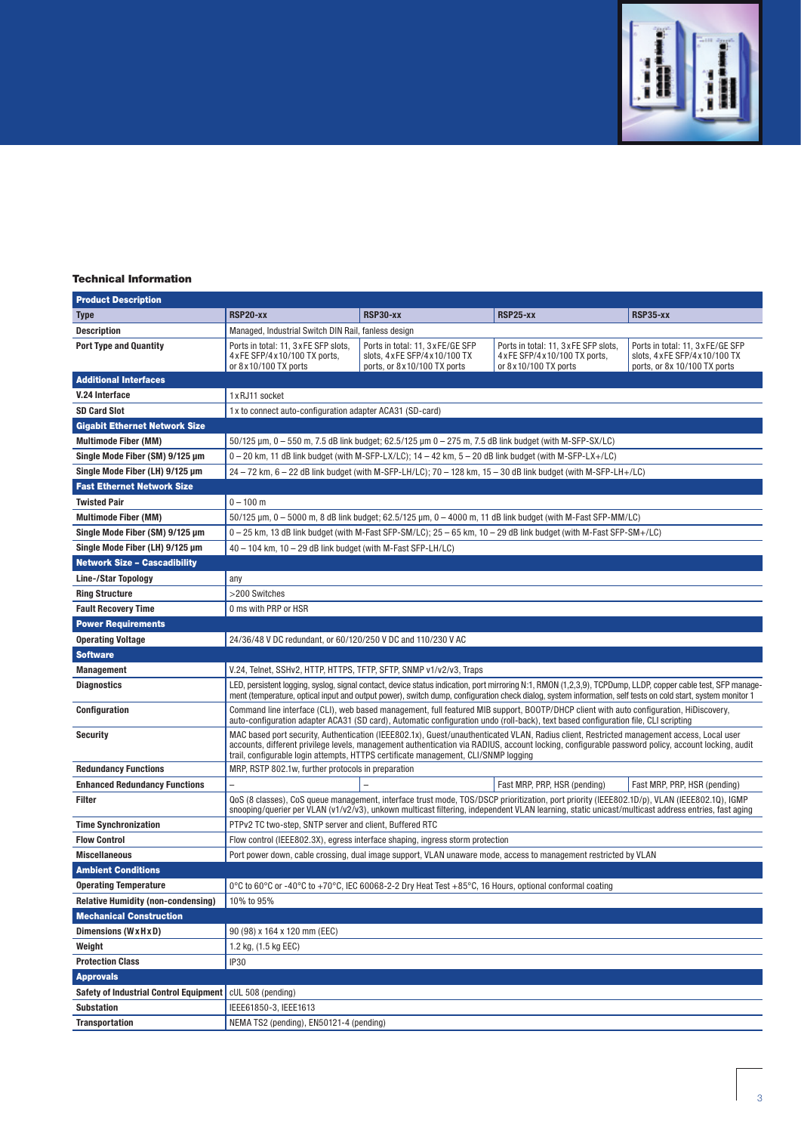

#### Technical Information

| <b>Product Description</b>                    |                                                                                                                                                                                                                                                                                                                                                                                      |                                                                                                     |                                                                                                  |                                                                                                      |
|-----------------------------------------------|--------------------------------------------------------------------------------------------------------------------------------------------------------------------------------------------------------------------------------------------------------------------------------------------------------------------------------------------------------------------------------------|-----------------------------------------------------------------------------------------------------|--------------------------------------------------------------------------------------------------|------------------------------------------------------------------------------------------------------|
| <b>Type</b>                                   | <b>RSP20-xx</b>                                                                                                                                                                                                                                                                                                                                                                      | <b>RSP30-xx</b>                                                                                     | RSP25-xx                                                                                         | RSP35-xx                                                                                             |
| <b>Description</b>                            | Managed, Industrial Switch DIN Rail, fanless design                                                                                                                                                                                                                                                                                                                                  |                                                                                                     |                                                                                                  |                                                                                                      |
| <b>Port Type and Quantity</b>                 | Ports in total: 11, 3 x FE SFP slots,<br>4 x FE SFP/4 x 10/100 TX ports,<br>or 8 x 10/100 TX ports                                                                                                                                                                                                                                                                                   | Ports in total: 11, 3 x FE/GE SFP<br>slots, 4 x FE SFP/4 x 10/100 TX<br>ports, or 8x10/100 TX ports | Ports in total: 11, 3xFE SFP slots,<br>4 x FE SFP/4 x 10/100 TX ports,<br>or 8 x 10/100 TX ports | Ports in total: 11, 3 x FE/GE SFP<br>slots, 4 x FE SFP/4 x 10/100 TX<br>ports, or 8x 10/100 TX ports |
| <b>Additional Interfaces</b>                  |                                                                                                                                                                                                                                                                                                                                                                                      |                                                                                                     |                                                                                                  |                                                                                                      |
| V.24 Interface                                | 1 x RJ11 socket                                                                                                                                                                                                                                                                                                                                                                      |                                                                                                     |                                                                                                  |                                                                                                      |
| <b>SD Card Slot</b>                           | 1x to connect auto-configuration adapter ACA31 (SD-card)                                                                                                                                                                                                                                                                                                                             |                                                                                                     |                                                                                                  |                                                                                                      |
| <b>Gigabit Ethernet Network Size</b>          |                                                                                                                                                                                                                                                                                                                                                                                      |                                                                                                     |                                                                                                  |                                                                                                      |
| <b>Multimode Fiber (MM)</b>                   | $50/125$ µm, 0 – 550 m, 7.5 dB link budget; 62.5/125 µm 0 – 275 m, 7.5 dB link budget (with M-SFP-SX/LC)                                                                                                                                                                                                                                                                             |                                                                                                     |                                                                                                  |                                                                                                      |
| Single Mode Fiber (SM) 9/125 µm               | $0-20$ km, 11 dB link budget (with M-SFP-LX/LC); $14-42$ km, $5-20$ dB link budget (with M-SFP-LX+/LC)                                                                                                                                                                                                                                                                               |                                                                                                     |                                                                                                  |                                                                                                      |
| Single Mode Fiber (LH) 9/125 µm               | 24 - 72 km, 6 - 22 dB link budget (with M-SFP-LH/LC); 70 - 128 km, 15 - 30 dB link budget (with M-SFP-LH+/LC)                                                                                                                                                                                                                                                                        |                                                                                                     |                                                                                                  |                                                                                                      |
| <b>Fast Ethernet Network Size</b>             |                                                                                                                                                                                                                                                                                                                                                                                      |                                                                                                     |                                                                                                  |                                                                                                      |
| <b>Twisted Pair</b>                           | $0 - 100$ m                                                                                                                                                                                                                                                                                                                                                                          |                                                                                                     |                                                                                                  |                                                                                                      |
| <b>Multimode Fiber (MM)</b>                   | 50/125 µm, 0 - 5000 m, 8 dB link budget; 62.5/125 µm, 0 - 4000 m, 11 dB link budget (with M-Fast SFP-MM/LC)                                                                                                                                                                                                                                                                          |                                                                                                     |                                                                                                  |                                                                                                      |
| Single Mode Fiber (SM) 9/125 µm               | 0 - 25 km, 13 dB link budget (with M-Fast SFP-SM/LC); 25 - 65 km, 10 - 29 dB link budget (with M-Fast SFP-SM+/LC)                                                                                                                                                                                                                                                                    |                                                                                                     |                                                                                                  |                                                                                                      |
| Single Mode Fiber (LH) 9/125 µm               | 40 - 104 km, 10 - 29 dB link budget (with M-Fast SFP-LH/LC)                                                                                                                                                                                                                                                                                                                          |                                                                                                     |                                                                                                  |                                                                                                      |
| <b>Network Size - Cascadibility</b>           |                                                                                                                                                                                                                                                                                                                                                                                      |                                                                                                     |                                                                                                  |                                                                                                      |
| <b>Line-/Star Topology</b>                    | any                                                                                                                                                                                                                                                                                                                                                                                  |                                                                                                     |                                                                                                  |                                                                                                      |
| <b>Ring Structure</b>                         | >200 Switches                                                                                                                                                                                                                                                                                                                                                                        |                                                                                                     |                                                                                                  |                                                                                                      |
| <b>Fault Recovery Time</b>                    | 0 ms with PRP or HSR                                                                                                                                                                                                                                                                                                                                                                 |                                                                                                     |                                                                                                  |                                                                                                      |
| <b>Power Requirements</b>                     |                                                                                                                                                                                                                                                                                                                                                                                      |                                                                                                     |                                                                                                  |                                                                                                      |
| <b>Operating Voltage</b>                      | 24/36/48 V DC redundant, or 60/120/250 V DC and 110/230 V AC                                                                                                                                                                                                                                                                                                                         |                                                                                                     |                                                                                                  |                                                                                                      |
| <b>Software</b>                               |                                                                                                                                                                                                                                                                                                                                                                                      |                                                                                                     |                                                                                                  |                                                                                                      |
| <b>Management</b>                             | V.24, Telnet, SSHv2, HTTP, HTTPS, TFTP, SFTP, SNMP v1/v2/v3, Traps                                                                                                                                                                                                                                                                                                                   |                                                                                                     |                                                                                                  |                                                                                                      |
| <b>Diagnostics</b>                            | LED, persistent logging, syslog, signal contact, device status indication, port mirroring N:1, RMON (1,2,3,9), TCPDump, LLDP, copper cable test, SFP manage-<br>ment (temperature, optical input and output power), switch dump, configuration check dialog, system information, self tests on cold start, system monitor 1                                                          |                                                                                                     |                                                                                                  |                                                                                                      |
| Configuration                                 | Command line interface (CLI), web based management, full featured MIB support, BOOTP/DHCP client with auto configuration, HiDiscovery,<br>auto-configuration adapter ACA31 (SD card), Automatic configuration undo (roll-back), text based configuration file, CLI scripting                                                                                                         |                                                                                                     |                                                                                                  |                                                                                                      |
| <b>Security</b>                               | MAC based port security, Authentication (IEEE802.1x), Guest/unauthenticated VLAN, Radius client, Restricted management access, Local user<br>accounts, different privilege levels, management authentication via RADIUS, account locking, configurable password policy, account locking, audit<br>trail, configurable login attempts, HTTPS certificate management, CLI/SNMP logging |                                                                                                     |                                                                                                  |                                                                                                      |
| <b>Redundancy Functions</b>                   | MRP, RSTP 802.1w, further protocols in preparation                                                                                                                                                                                                                                                                                                                                   |                                                                                                     |                                                                                                  |                                                                                                      |
| <b>Enhanced Redundancy Functions</b>          |                                                                                                                                                                                                                                                                                                                                                                                      |                                                                                                     | Fast MRP, PRP, HSR (pending)                                                                     | Fast MRP, PRP, HSR (pending)                                                                         |
| <b>Filter</b>                                 | QoS (8 classes), CoS queue management, interface trust mode, TOS/DSCP prioritization, port priority (IEEE802.1D/p), VLAN (IEEE802.1Q), IGMP<br>snooping/querier per VLAN (v1/v2/v3), unkown multicast filtering, independent VLAN learning, static unicast/multicast address entries, fast aging                                                                                     |                                                                                                     |                                                                                                  |                                                                                                      |
| <b>Time Synchronization</b>                   | PTPv2 TC two-step, SNTP server and client, Buffered RTC                                                                                                                                                                                                                                                                                                                              |                                                                                                     |                                                                                                  |                                                                                                      |
| <b>Flow Control</b>                           | Flow control (IEEE802.3X), egress interface shaping, ingress storm protection                                                                                                                                                                                                                                                                                                        |                                                                                                     |                                                                                                  |                                                                                                      |
| <b>Miscellaneous</b>                          | Port power down, cable crossing, dual image support, VLAN unaware mode, access to management restricted by VLAN                                                                                                                                                                                                                                                                      |                                                                                                     |                                                                                                  |                                                                                                      |
| <b>Ambient Conditions</b>                     |                                                                                                                                                                                                                                                                                                                                                                                      |                                                                                                     |                                                                                                  |                                                                                                      |
| <b>Operating Temperature</b>                  | 0°C to 60°C or -40°C to +70°C, IEC 60068-2-2 Dry Heat Test +85°C, 16 Hours, optional conformal coating                                                                                                                                                                                                                                                                               |                                                                                                     |                                                                                                  |                                                                                                      |
| <b>Relative Humidity (non-condensing)</b>     | 10% to 95%                                                                                                                                                                                                                                                                                                                                                                           |                                                                                                     |                                                                                                  |                                                                                                      |
| <b>Mechanical Construction</b>                |                                                                                                                                                                                                                                                                                                                                                                                      |                                                                                                     |                                                                                                  |                                                                                                      |
| Dimensions (WxHxD)                            | 90 (98) x 164 x 120 mm (EEC)                                                                                                                                                                                                                                                                                                                                                         |                                                                                                     |                                                                                                  |                                                                                                      |
| Weight                                        | 1.2 kg, (1.5 kg EEC)                                                                                                                                                                                                                                                                                                                                                                 |                                                                                                     |                                                                                                  |                                                                                                      |
| <b>Protection Class</b>                       | <b>IP30</b>                                                                                                                                                                                                                                                                                                                                                                          |                                                                                                     |                                                                                                  |                                                                                                      |
| <b>Approvals</b>                              |                                                                                                                                                                                                                                                                                                                                                                                      |                                                                                                     |                                                                                                  |                                                                                                      |
| <b>Safety of Industrial Control Equipment</b> | cUL 508 (pending)                                                                                                                                                                                                                                                                                                                                                                    |                                                                                                     |                                                                                                  |                                                                                                      |
| <b>Substation</b>                             | IEEE61850-3, IEEE1613                                                                                                                                                                                                                                                                                                                                                                |                                                                                                     |                                                                                                  |                                                                                                      |
| <b>Transportation</b>                         | NEMA TS2 (pending), EN50121-4 (pending)                                                                                                                                                                                                                                                                                                                                              |                                                                                                     |                                                                                                  |                                                                                                      |